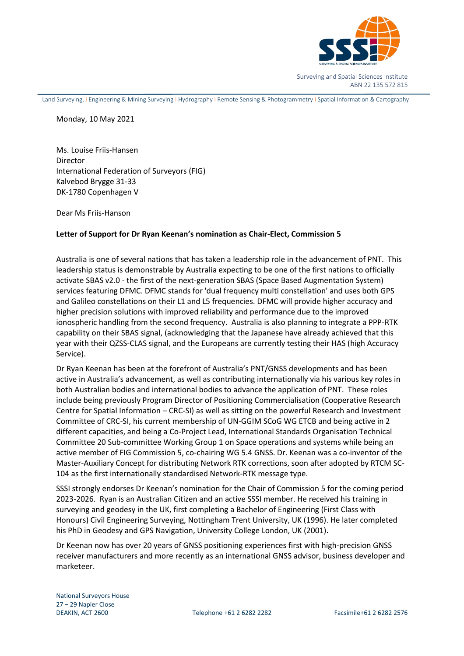

Surveying and Spatial Sciences Institute ABN 22 135 572 815

Land Surveying, I Engineering & Mining Surveying I Hydrography I Remote Sensing & Photogrammetry I Spatial Information & Cartography

Monday, 10 May 2021

Ms. Louise Friis-Hansen Director International Federation of Surveyors (FIG) Kalvebod Brygge 31-33 DK-1780 Copenhagen V

Dear Ms Friis-Hanson

## **Letter of Support for Dr Ryan Keenan's nomination as Chair-Elect, Commission 5**

Australia is one of several nations that has taken a leadership role in the advancement of PNT. This leadership status is demonstrable by Australia expecting to be one of the first nations to officially activate SBAS v2.0 - the first of the next-generation SBAS (Space Based Augmentation System) services featuring DFMC. DFMC stands for 'dual frequency multi constellation' and uses both GPS and Galileo constellations on their L1 and L5 frequencies. DFMC will provide higher accuracy and higher precision solutions with improved reliability and performance due to the improved ionospheric handling from the second frequency. Australia is also planning to integrate a PPP-RTK capability on their SBAS signal, (acknowledging that the Japanese have already achieved that this year with their QZSS-CLAS signal, and the Europeans are currently testing their HAS (high Accuracy Service).

Dr Ryan Keenan has been at the forefront of Australia's PNT/GNSS developments and has been active in Australia's advancement, as well as contributing internationally via his various key roles in both Australian bodies and international bodies to advance the application of PNT. These roles include being previously Program Director of Positioning Commercialisation (Cooperative Research Centre for Spatial Information – CRC-SI) as well as sitting on the powerful Research and Investment Committee of CRC-SI, his current membership of UN-GGIM SCoG WG ETCB and being active in 2 different capacities, and being a Co-Project Lead, International Standards Organisation Technical Committee 20 Sub-committee Working Group 1 on Space operations and systems while being an active member of FIG Commission 5, co-chairing WG 5.4 GNSS. Dr. Keenan was a co-inventor of the Master-Auxiliary Concept for distributing Network RTK corrections, soon after adopted by RTCM SC-104 as the first internationally standardised Network-RTK message type.

SSSI strongly endorses Dr Keenan's nomination for the Chair of Commission 5 for the coming period 2023-2026. Ryan is an Australian Citizen and an active SSSI member. He received his training in surveying and geodesy in the UK, first completing a Bachelor of Engineering (First Class with Honours) Civil Engineering Surveying, Nottingham Trent University, UK (1996). He later completed his PhD in Geodesy and GPS Navigation, University College London, UK (2001).

Dr Keenan now has over 20 years of GNSS positioning experiences first with high-precision GNSS receiver manufacturers and more recently as an international GNSS advisor, business developer and marketeer.